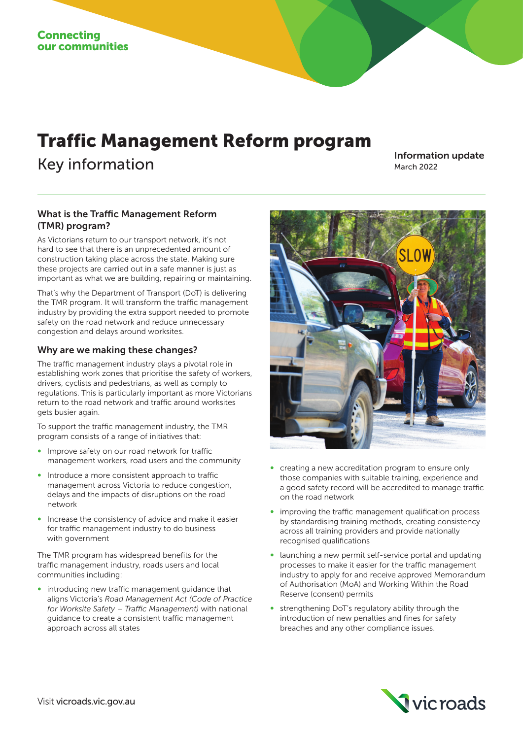# Traffic Management Reform program

Key information Information Information update March 2022

## What is the Traffic Management Reform (TMR) program?

As Victorians return to our transport network, it's not hard to see that there is an unprecedented amount of construction taking place across the state. Making sure these projects are carried out in a safe manner is just as important as what we are building, repairing or maintaining.

That's why the Department of Transport (DoT) is delivering the TMR program. It will transform the traffic management industry by providing the extra support needed to promote safety on the road network and reduce unnecessary congestion and delays around worksites.

### Why are we making these changes?

The traffic management industry plays a pivotal role in establishing work zones that prioritise the safety of workers, drivers, cyclists and pedestrians, as well as comply to regulations. This is particularly important as more Victorians return to the road network and traffic around worksites gets busier again.

To support the traffic management industry, the TMR program consists of a range of initiatives that:

- Improve safety on our road network for traffic management workers, road users and the community
- Introduce a more consistent approach to traffic management across Victoria to reduce congestion, delays and the impacts of disruptions on the road network
- Increase the consistency of advice and make it easier for traffic management industry to do business with government

The TMR program has widespread benefits for the traffic management industry, roads users and local communities including:

introducing new traffic management guidance that aligns Victoria's *Road Management Act (Code of Practice for Worksite Safety – Traffic Management)* with national guidance to create a consistent traffic management approach across all states



- creating a new accreditation program to ensure only those companies with suitable training, experience and a good safety record will be accredited to manage traffic on the road network
- improving the traffic management qualification process by standardising training methods, creating consistency across all training providers and provide nationally recognised qualifications
- ∞ launching a new permit self-service portal and updating processes to make it easier for the traffic management industry to apply for and receive approved Memorandum of Authorisation (MoA) and Working Within the Road Reserve (consent) permits
- strengthening DoT's regulatory ability through the introduction of new penalties and fines for safety breaches and any other compliance issues.